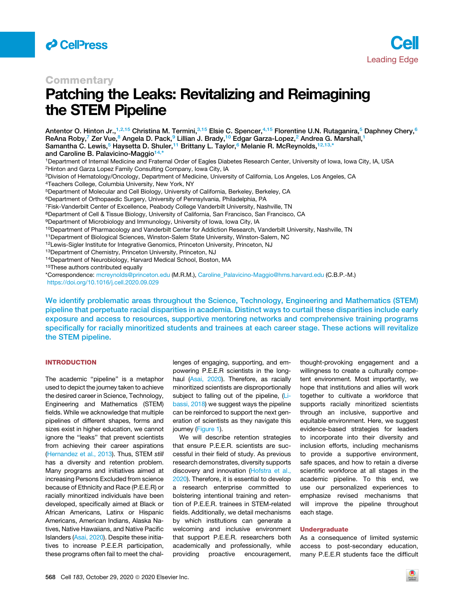



### **Commentary**

# Patching the Leaks: Revitalizing and Reimagining the STEM Pipeline

<span id="page-0-8"></span><span id="page-0-7"></span><span id="page-0-6"></span><span id="page-0-5"></span><span id="page-0-4"></span><span id="page-0-3"></span><span id="page-0-1"></span><span id="page-0-0"></span>Antentor O. Hinton Jr.,<sup>[1,](#page-0-0)[2,](#page-0-1)[15](#page-0-2)</sup> Christina M. Termini,<sup>[3,](#page-0-3)15</sup> Elsie C. Spencer,<sup>[4,](#page-0-4)1[5](#page-0-5)</sup> Florentine U.N. Rutaganira,<sup>5</sup> Daphney Chery,<sup>[6](#page-0-6)</sup> ReAna Roby,<sup>[7](#page-0-7)</sup> Zer Vue,<sup>[8](#page-0-8)</sup> Angela D. Pack,<sup>[9](#page-0-9)</sup> Lillian J. Brady,<sup>10</sup> Edgar Garza-Lopez,<sup>[2](#page-0-1)</sup> Andrea G. Marshall,<sup>[1](#page-0-0)</sup> Samantha C. Lewis,<sup>[5](#page-0-5)</sup> Haysetta D. Shuler,<sup>[11](#page-0-11)</sup> Brittany L. Taylor,<sup>[6](#page-0-6)</sup> Melanie R. McReynolds,<sup>[12,](#page-0-12)[13,](#page-0-13)[\\*](#page-0-14)</sup> and Caroline B. Palavicino-Maggio<sup>[14,](#page-0-15)[\\*](#page-0-14)</sup> 1Department of Internal Medicine and Fraternal Order of Eagles Diabetes Research Center, University of Iowa, Iowa City, IA, USA 2Hinton and Garza Lopez Family Consulting Company, Iowa City, IA 3Division of Hematology/Oncology, Department of Medicine, University of California, Los Angeles, Los Angeles, CA 4Teachers College, Columbia University, New York, NY 5Department of Molecular and Cell Biology, University of California, Berkeley, Berkeley, CA 6Department of Orthopaedic Surgery, University of Pennsylvania, Philadelphia, PA 7Fisk-Vanderbilt Center of Excellence, Peabody College Vanderbilt University, Nashville, TN 8Department of Cell & Tissue Biology, University of California, San Francisco, San Francisco, CA 9Department of Microbiology and Immunology, University of Iowa, Iowa City, IA 10 Department of Pharmacology and Vanderbilt Center for Addiction Research, Vanderbilt University, Nashville, TN 11Department of Biological Sciences, Winston-Salem State University, Winston-Salem, NC 12Lewis-Sigler Institute for Integrative Genomics, Princeton University, Princeton, NJ 13Department of Chemistry, Princeton University, Princeton, NJ 14Department of Neurobiology, Harvard Medical School, Boston, MA 15These authors contributed equally \*Correspondence: [mcreynolds@princeton.edu](mailto:mcreynolds@princeton.edu) (M.R.M.), [Caroline\\_Palavicino-Maggio@hms.harvard.edu](mailto:Caroline_Palavicino-Maggio@hms.harvard.edu) (C.B.P.-M.) <https://doi.org/10.1016/j.cell.2020.09.029>

<span id="page-0-15"></span><span id="page-0-14"></span><span id="page-0-13"></span><span id="page-0-12"></span><span id="page-0-11"></span><span id="page-0-10"></span><span id="page-0-9"></span><span id="page-0-2"></span>We identify problematic areas throughout the Science, Technology, Engineering and Mathematics (STEM) pipeline that perpetuate racial disparities in academia. Distinct ways to curtail these disparities include early exposure and access to resources, supportive mentoring networks and comprehensive training programs specifically for racially minoritized students and trainees at each career stage. These actions will revitalize the STEM pipeline.

#### INTRODUCTION

The academic "pipeline" is a metaphor used to depict the journey taken to achieve the desired career in Science, Technology, Engineering and Mathematics (STEM) fields. While we acknowledge that multiple pipelines of different shapes, forms and sizes exist in higher education, we cannot ignore the ''leaks'' that prevent scientists from achieving their career aspirations ([Hernandez et al., 2013](#page-7-0)). Thus, STEM *still* has a diversity and retention problem. Many programs and initiatives aimed at increasing Persons Excluded from science because of Ethnicity and Race (P.E.E.R) or racially minoritized individuals have been developed, specifically aimed at Black or African Americans, Latinx or Hispanic Americans, American Indians, Alaska Natives, Native Hawaiians, and Native Pacific Islanders [\(Asai, 2020\)](#page-7-1). Despite these initiatives to increase P.E.E.R participation, these programs often fail to meet the chal-

lenges of engaging, supporting, and empowering P.E.E.R scientists in the longhaul ([Asai, 2020](#page-7-1)). Therefore, as racially minoritized scientists are disproportionally subject to falling out of the pipeline, [\(Li](#page-7-2)[bassi, 2018](#page-7-2)) we suggest ways the pipeline can be reinforced to support the next generation of scientists as they navigate this iourney ([Figure 1\)](#page-1-0).

We will describe retention strategies that ensure P.E.E.R. scientists are successful in their field of study. As previous research demonstrates, diversity supports discovery and innovation [\(Hofstra et al.,](#page-7-3) [2020\)](#page-7-3). Therefore, it is essential to develop a research enterprise committed to bolstering intentional training and retention of P.E.E.R. trainees in STEM-related fields. Additionally, we detail mechanisms by which institutions can generate a welcoming and inclusive environment that support P.E.E.R. researchers both academically and professionally, while providing proactive encouragement,

thought-provoking engagement and a willingness to create a culturally competent environment. Most importantly, we hope that institutions and allies will work together to cultivate a workforce that supports racially minoritized scientists through an inclusive, supportive and equitable environment. Here, we suggest evidence-based strategies for leaders to incorporate into their diversity and inclusion efforts, including mechanisms to provide a supportive environment, safe spaces, and how to retain a diverse scientific workforce at all stages in the academic pipeline. To this end, we use our personalized experiences to emphasize revised mechanisms that will improve the pipeline throughout each stage.

#### Undergraduate

As a consequence of limited systemic access to post-secondary education, many P.E.E.R students face the difficult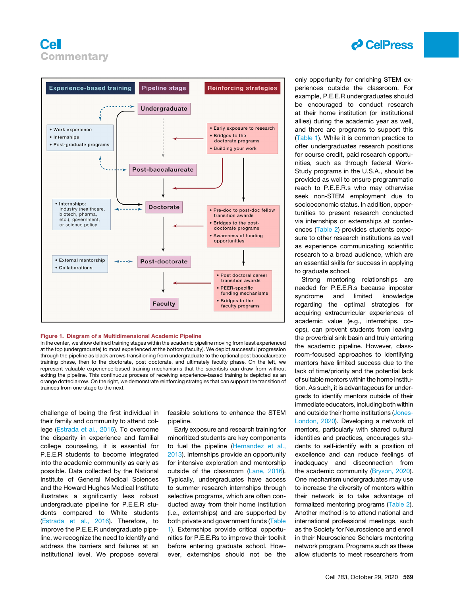<span id="page-1-0"></span>

#### Figure 1. Diagram of a Multidimensional Academic Pipeline

In the center, we show defined training stages within the academic pipeline moving from least experienced at the top (undergraduate) to most experienced at the bottom (faculty). We depict successful progression through the pipeline as black arrows transitioning from undergraduate to the optional post baccalaureate training phase, then to the doctorate, post doctorate, and ultimately faculty phase. On the left, we represent valuable experience-based training mechanisms that the scientists can draw from without exiting the pipeline. This continuous process of receiving experience-based training is depicted as an orange dotted arrow. On the right, we demonstrate reinforcing strategies that can support the transition of trainees from one stage to the next.

challenge of being the first individual in their family and community to attend college [\(Estrada et al., 2016](#page-7-4)). To overcome the disparity in experience and familial college counseling, it is essential for P.E.E.R students to become integrated into the academic community as early as possible. Data collected by the National Institute of General Medical Sciences and the Howard Hughes Medical Institute illustrates a significantly less robust undergraduate pipeline for P.E.E.R students compared to White students [\(Estrada et al., 2016](#page-7-4)). Therefore, to improve the P.E.E.R undergraduate pipeline, we recognize the need to identify and address the barriers and failures at an institutional level. We propose several

feasible solutions to enhance the STEM pipeline.

Early exposure and research training for minoritized students are key components to fuel the pipeline ([Hernandez et al.,](#page-7-0) [2013](#page-7-0)). Internships provide an opportunity for intensive exploration and mentorship outside of the classroom [\(Lane, 2016](#page-7-5)). Typically, undergraduates have access to summer research internships through selective programs, which are often conducted away from their home institution (i.e., externships) and are supported by both private and government funds ([Table](#page-2-0) [1](#page-2-0)). Externships provide critical opportunities for P.E.E.Rs to improve their toolkit before entering graduate school. However, externships should not be the



only opportunity for enriching STEM experiences outside the classroom. For example, P.E.E.R undergraduates should be encouraged to conduct research at their home institution (or institutional allies) during the academic year as well, and there are programs to support this [\(Table 1\)](#page-2-0). While it is common practice to offer undergraduates research positions for course credit, paid research opportunities, such as through federal Work-Study programs in the U.S.A., should be provided as well to ensure programmatic reach to P.E.E.R.s who may otherwise seek non-STEM employment due to socioeconomic status. In addition, opportunities to present research conducted via internships or externships at conferences ([Table 2](#page-4-0)) provides students exposure to other research institutions as well as experience communicating scientific research to a broad audience, which are an essential skills for success in applying to graduate school.

Strong mentoring relationships are needed for P.E.E.R.s because imposter syndrome and limited knowledge regarding the optimal strategies for acquiring extracurricular experiences of academic value (e.g., internships, coops), can prevent students from leaving the proverbial sink basin and truly entering the academic pipeline. However, classroom-focused approaches to identifying mentors have limited success due to the lack of time/priority and the potential lack of suitable mentors within the home institution. As such, it is advantageous for undergrads to identify mentors outside of their immediate educators, including both within and outside their home institutions ([Jones-](#page-7-6)[London, 2020\)](#page-7-6). Developing a network of mentors, particularly with shared cultural identities and practices, encourages students to self-identify with a position of excellence and can reduce feelings of inadequacy and disconnection from the academic community ([Bryson, 2020\)](#page-7-7). One mechanism undergraduates may use to increase the diversity of mentors within their network is to take advantage of formalized mentoring programs ([Table 2\)](#page-4-0). Another method is to attend national and international professional meetings, such as the Society for Neuroscience and enroll in their Neuroscience Scholars mentoring network program. Programs such as these allow students to meet researchers from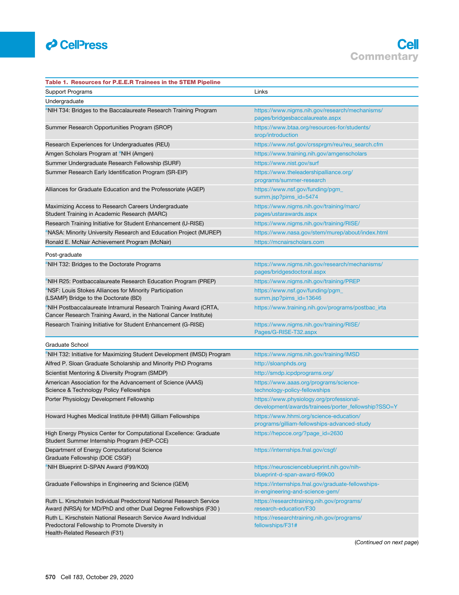

<span id="page-2-0"></span>

| Table 1. Resources for P.E.E.R Trainees in the STEM Pipeline                                                                                      |                                                                                                 |  |
|---------------------------------------------------------------------------------------------------------------------------------------------------|-------------------------------------------------------------------------------------------------|--|
| <b>Support Programs</b>                                                                                                                           | Links                                                                                           |  |
| Undergraduate                                                                                                                                     |                                                                                                 |  |
| <sup>a</sup> NIH T34: Bridges to the Baccalaureate Research Training Program                                                                      | https://www.nigms.nih.gov/research/mechanisms/<br>pages/bridgesbaccalaureate.aspx               |  |
| Summer Research Opportunities Program (SROP)                                                                                                      | https://www.btaa.org/resources-for/students/<br>srop/introduction                               |  |
| Research Experiences for Undergraduates (REU)                                                                                                     | https://www.nsf.gov/crssprgm/reu/reu_search.cfm                                                 |  |
| Amgen Scholars Program at <sup>a</sup> NIH (Amgen)                                                                                                | https://www.training.nih.gov/amgenscholars                                                      |  |
| Summer Undergraduate Research Fellowship (SURF)                                                                                                   | https://www.nist.gov/surf                                                                       |  |
| Summer Research Early Identification Program (SR-EIP)                                                                                             | https://www.theleadershipalliance.org/<br>programs/summer-research                              |  |
| Alliances for Graduate Education and the Professoriate (AGEP)                                                                                     | https://www.nsf.gov/funding/pgm_<br>summ.jsp?pims_id=5474                                       |  |
| Maximizing Access to Research Careers Undergraduate<br>Student Training in Academic Research (MARC)                                               | https://www.nigms.nih.gov/training/marc/<br>pages/ustarawards.aspx                              |  |
| Research Training Initiative for Student Enhancement (U-RISE)                                                                                     | https://www.nigms.nih.gov/training/RISE/                                                        |  |
| <sup>a</sup> NASA: Minority University Research and Education Project (MUREP)                                                                     | https://www.nasa.gov/stem/murep/about/index.html                                                |  |
| Ronald E. McNair Achievement Program (McNair)                                                                                                     | https://mcnairscholars.com                                                                      |  |
| Post-graduate                                                                                                                                     |                                                                                                 |  |
| <sup>a</sup> NIH T32: Bridges to the Doctorate Programs                                                                                           | https://www.nigms.nih.gov/research/mechanisms/<br>pages/bridgesdoctoral.aspx                    |  |
| NIH R25: Postbaccalaureate Research Education Program (PREP)                                                                                      | https://www.nigms.nih.gov/training/PREP                                                         |  |
| <sup>a</sup> NSF: Louis Stokes Alliances for Minority Participation<br>(LSAMP) Bridge to the Doctorate (BD)                                       | https://www.nsf.gov/funding/pgm_<br>summ.jsp?pims_id=13646                                      |  |
| <sup>a</sup> NIH Postbaccalaureate Intramural Research Training Award (CRTA,<br>Cancer Research Training Award, in the National Cancer Institute) | https://www.training.nih.gov/programs/postbac_irta                                              |  |
| Research Training Initiative for Student Enhancement (G-RISE)                                                                                     | https://www.nigms.nih.gov/training/RISE/<br>Pages/G-RISE-T32.aspx                               |  |
| Graduate School                                                                                                                                   |                                                                                                 |  |
| <sup>a</sup> NIH T32: Initiative for Maximizing Student Development (IMSD) Program                                                                | https://www.nigms.nih.gov/training/IMSD                                                         |  |
| Alfred P. Sloan Graduate Scholarship and Minority PhD Programs                                                                                    | http://sloanphds.org                                                                            |  |
| Scientist Mentoring & Diversity Program (SMDP)                                                                                                    | http://smdp.icpdprograms.org/                                                                   |  |
| American Association for the Advancement of Science (AAAS)<br>Science & Technology Policy Fellowships                                             | https://www.aaas.org/programs/science-<br>technology-policy-fellowships                         |  |
| Porter Physiology Development Fellowship                                                                                                          | https://www.physiology.org/professional-<br>development/awards/trainees/porter_fellowship?SSO=Y |  |
| Howard Hughes Medical Institute (HHMI) Gilliam Fellowships                                                                                        | https://www.hhmi.org/science-education/<br>programs/gilliam-fellowships-advanced-study          |  |
| High Energy Physics Center for Computational Excellence: Graduate<br>Student Summer Internship Program (HEP-CCE)                                  | https://hepcce.org/?page_id=2630                                                                |  |
| Department of Energy Computational Science<br>Graduate Fellowship (DOE CSGF)                                                                      | https://internships.fnal.gov/csgf/                                                              |  |
| <sup>a</sup> NIH Blueprint D-SPAN Award (F99/K00)                                                                                                 | https://neuroscienceblueprint.nih.gov/nih-<br>blueprint-d-span-award-f99k00                     |  |
| Graduate Fellowships in Engineering and Science (GEM)                                                                                             | https://internships.fnal.gov/graduate-fellowships-<br>in-engineering-and-science-gem/           |  |
| Ruth L. Kirschstein Individual Predoctoral National Research Service<br>Award (NRSA) for MD/PhD and other Dual Degree Fellowships (F30)           | https://researchtraining.nih.gov/programs/<br>research-education/F30                            |  |
| Ruth L. Kirschstein National Research Service Award Individual<br>Predoctoral Fellowship to Promote Diversity in<br>Health-Related Research (F31) | https://researchtraining.nih.gov/programs/<br>fellowships/F31#                                  |  |

(*Continued on next page*)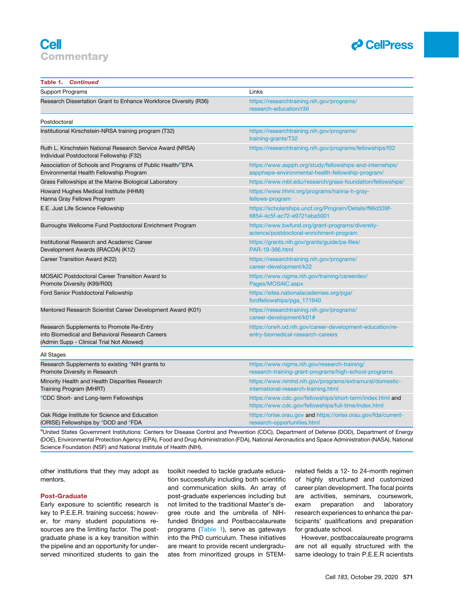

| <b>Table 1. Continued</b>                                                                                                                |                                                                                                                   |  |
|------------------------------------------------------------------------------------------------------------------------------------------|-------------------------------------------------------------------------------------------------------------------|--|
| Support Programs                                                                                                                         | Links                                                                                                             |  |
| Research Dissertation Grant to Enhance Workforce Diversity (R36)                                                                         | https://researchtraining.nih.gov/programs/<br>research-education/r36                                              |  |
| Postdoctoral                                                                                                                             |                                                                                                                   |  |
| Institutional Kirschstein-NRSA training program (T32)                                                                                    | https://researchtraining.nih.gov/programs/<br>training-grants/T32                                                 |  |
| Ruth L. Kirschstein National Research Service Award (NRSA)<br>Individual Postdoctoral Fellowship (F32)                                   | https://researchtraining.nih.gov/programs/fellowships/f32                                                         |  |
| Association of Schools and Programs of Public Health/ <sup>a</sup> EPA<br>Environmental Health Fellowship Program                        | https://www.aspph.org/study/fellowships-and-internships/<br>aspphepa-environmental-health-fellowship-program/     |  |
| Grass Fellowships at the Marine Biological Laboratory                                                                                    | https://www.mbl.edu/research/grass-foundation/fellowships/                                                        |  |
| Howard Hughes Medical Institute (HHMI)<br>Hanna Gray Fellows Program                                                                     | https://www.hhmi.org/programs/hanna-h-gray-<br>fellows-program                                                    |  |
| E.E. Just Life Science Fellowship                                                                                                        | https://scholarships.uncf.org/Program/Details/f96d339f-<br>6854-4c5f-ac72-e9721eba5001                            |  |
| Burroughs Wellcome Fund Postdoctoral Enrichment Program                                                                                  | https://www.bwfund.org/grant-programs/diversity-<br>science/postdoctoral-enrichment-program                       |  |
| Institutional Research and Academic Career<br>Development Awards (IRACDA) (K12)                                                          | https://grants.nih.gov/grants/guide/pa-files/<br>PAR-19-366.html                                                  |  |
| Career Transition Award (K22)                                                                                                            | https://researchtraining.nih.gov/programs/<br>career-development/k22                                              |  |
| <b>MOSAIC Postdoctoral Career Transition Award to</b><br>Promote Diversity (K99/R00)                                                     | https://www.nigms.nih.gov/training/careerdev/<br>Pages/MOSAIC.aspx                                                |  |
| Ford Senior Postdoctoral Fellowship                                                                                                      | https://sites.nationalacademies.org/pga/<br>fordfellowships/pga_171940                                            |  |
| Mentored Research Scientist Career Development Award (K01)                                                                               | https://researchtraining.nih.gov/programs/<br>career-development/k01#                                             |  |
| Research Supplements to Promote Re-Entry<br>into Biomedical and Behavioral Research Careers<br>(Admin Supp - Clinical Trial Not Allowed) | https://orwh.od.nih.gov/career-development-education/re-<br>entry-biomedical-research-careers                     |  |
| All Stages                                                                                                                               |                                                                                                                   |  |
| Research Supplements to existing <sup>a</sup> NIH grants to<br>Promote Diversity in Research                                             | https://www.nigms.nih.gov/research-training/<br>research-training-grant-programs/high-school-programs             |  |
| Minority Health and Health Disparities Research<br>Training Program (MHRT)                                                               | https://www.nimhd.nih.gov/programs/extramural/domestic-<br>international-research-training.html                   |  |
| <sup>a</sup> CDC Short- and Long-term Fellowships                                                                                        | https://www.cdc.gov/fellowships/short-term/index.html and<br>https://www.cdc.gov/fellowships/full-time/index.html |  |
| Oak Ridge Institute for Science and Education<br>(ORISE) Fellowships by <sup>a</sup> DOD and <sup>a</sup> FDA                            | https://orise.orau.gov and https://orise.orau.gov/fda/current-<br>research-opportunities.html                     |  |

<span id="page-3-0"></span>a<br>United States Government Institutions: Centers for Disease Control and Prevention (CDC), Department of Defense (DOD), Department of Energy (DOE), Environmental Protection Agency (EPA), Food and Drug Administration (FDA), National Aeronautics and Space Administration (NASA), National Science Foundation (NSF) and National Institute of Health (NIH).

other institutions that they may adopt as mentors.

#### Post-Graduate

Early exposure to scientific research is key to P.E.E.R. training success; however, for many student populations resources are the limiting factor. The postgraduate phase is a key transition within the pipeline and an opportunity for underserved minoritized students to gain the

toolkit needed to tackle graduate education successfully including both scientific and communication skills. An array of post-graduate experiences including but not limited to the traditional Master's degree route and the umbrella of NIHfunded Bridges and Postbaccalaureate programs [\(Table 1](#page-2-0)), serve as gateways into the PhD curriculum. These initiatives are meant to provide recent undergraduates from minoritized groups in STEM-

related fields a 12- to 24-month regimen of highly structured and customized career plan development. The focal points are activities, seminars, coursework, exam preparation and laboratory research experiences to enhance the participants' qualifications and preparation for graduate school.

However, postbaccalaureate programs are not all equally structured with the same ideology to train P.E.E.R scientists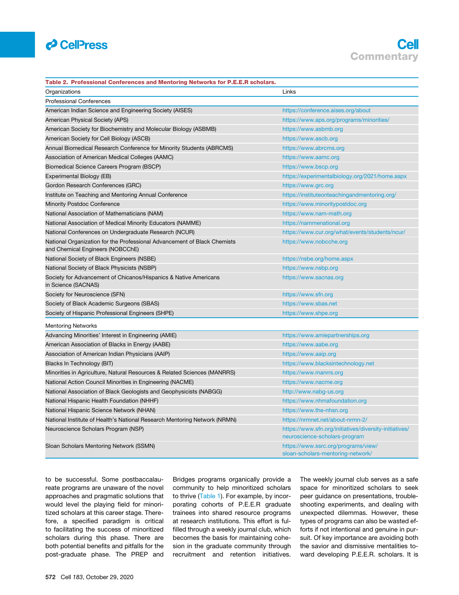

<span id="page-4-0"></span>

| Table 2. Professional Conferences and Mentoring Networks for P.E.E.R scholars.                               |                                                                                         |
|--------------------------------------------------------------------------------------------------------------|-----------------------------------------------------------------------------------------|
| Organizations                                                                                                | Links                                                                                   |
| <b>Professional Conferences</b>                                                                              |                                                                                         |
| American Indian Science and Engineering Society (AISES)                                                      | https://conference.aises.org/about                                                      |
| American Physical Society (APS)                                                                              | https://www.aps.org/programs/minorities/                                                |
| American Society for Biochemistry and Molecular Biology (ASBMB)                                              | https://www.asbmb.org                                                                   |
| American Society for Cell Biology (ASCB)                                                                     | https://www.ascb.org                                                                    |
| Annual Biomedical Research Conference for Minority Students (ABRCMS)                                         | https://www.abrcms.org                                                                  |
| Association of American Medical Colleges (AAMC)                                                              | https://www.aamc.org                                                                    |
| Biomedical Science Careers Program (BSCP)                                                                    | https://www.bscp.org                                                                    |
| Experimental Biology (EB)                                                                                    | https://experimentalbiology.org/2021/home.aspx                                          |
| Gordon Research Conferences (GRC)                                                                            | https://www.grc.org                                                                     |
| Institute on Teaching and Mentoring Annual Conference                                                        | https://instituteonteachingandmentoring.org/                                            |
| <b>Minority Postdoc Conference</b>                                                                           | https://www.minoritypostdoc.org                                                         |
| National Association of Mathematicians (NAM)                                                                 | https://www.nam-math.org                                                                |
| National Association of Medical Minority Educators (NAMME)                                                   | https://nammenational.org                                                               |
| National Conferences on Undergraduate Research (NCUR)                                                        | https://www.cur.org/what/events/students/ncur/                                          |
| National Organization for the Professional Advancement of Black Chemists<br>and Chemical Engineers (NOBCChE) | https://www.nobcche.org                                                                 |
| National Society of Black Engineers (NSBE)                                                                   | https://nsbe.org/home.aspx                                                              |
| National Society of Black Physicists (NSBP)                                                                  | https://www.nsbp.org                                                                    |
| Society for Advancement of Chicanos/Hispanics & Native Americans<br>in Science (SACNAS)                      | https://www.sacnas.org                                                                  |
| Society for Neuroscience (SFN)                                                                               | https://www.sfn.org                                                                     |
| Society of Black Academic Surgeons (SBAS)                                                                    | https://www.sbas.net                                                                    |
| Society of Hispanic Professional Engineers (SHPE)                                                            | https://www.shpe.org                                                                    |
| <b>Mentoring Networks</b>                                                                                    |                                                                                         |
| Advancing Minorities' Interest in Engineering (AMIE)                                                         | https://www.amiepartnerships.org                                                        |
| American Association of Blacks in Energy (AABE)                                                              | https://www.aabe.org                                                                    |
| Association of American Indian Physicians (AAIP)                                                             | https://www.aaip.org                                                                    |
| Blacks In Technology (BIT)                                                                                   | https://www.blacksintechnology.net                                                      |
| Minorities in Agriculture, Natural Resources & Related Sciences (MANRRS)                                     | https://www.manrrs.org                                                                  |
| National Action Council Minorities in Engineering (NACME)                                                    | https://www.nacme.org                                                                   |
| National Association of Black Geologists and Geophysicists (NABGG)                                           | http://www.nabg-us.org                                                                  |
| National Hispanic Health Foundation (NHHF)                                                                   | https://www.nhmafoundation.org                                                          |
| National Hispanic Science Network (NHAN)                                                                     | https://www.the-nhsn.org                                                                |
| National Institute of Health's National Research Mentoring Network (NRMN)                                    | https://nrmnet.net/about-nrmn-2/                                                        |
| Neuroscience Scholars Program (NSP)                                                                          | https://www.sfn.org/initiatives/diversity-initiatives/<br>neuroscience-scholars-program |
| Sloan Scholars Mentoring Network (SSMN)                                                                      | https://www.ssrc.org/programs/view/<br>sloan-scholars-mentoring-network/                |

to be successful. Some postbaccalaureate programs are unaware of the novel approaches and pragmatic solutions that would level the playing field for minoritized scholars at this career stage. Therefore, a specified paradigm is critical to facilitating the success of minoritized scholars during this phase. There are both potential benefits and pitfalls for the post-graduate phase. The PREP and

Bridges programs organically provide a community to help minoritized scholars to thrive [\(Table 1](#page-2-0)). For example, by incorporating cohorts of P.E.E.R graduate trainees into shared resource programs at research institutions. This effort is fulfilled through a weekly journal club, which becomes the basis for maintaining cohesion in the graduate community through recruitment and retention initiatives.

The weekly journal club serves as a safe space for minoritized scholars to seek peer guidance on presentations, troubleshooting experiments, and dealing with unexpected dilemmas. However, these types of programs can also be wasted efforts if not intentional and genuine in pursuit. Of key importance are avoiding both the savior and dismissive mentalities toward developing P.E.E.R. scholars. It is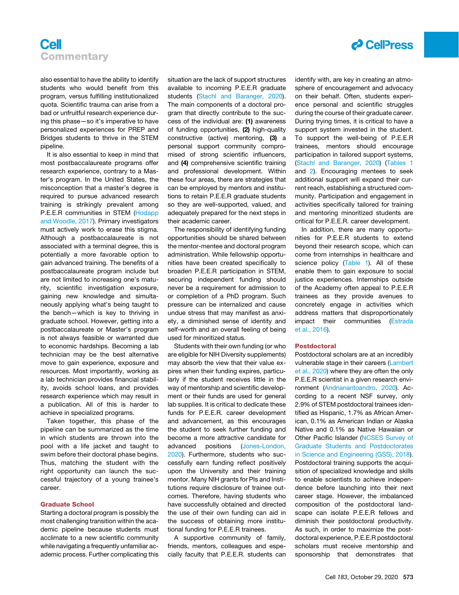



also essential to have the ability to identify students who would benefit from this program, versus fulfilling institutionalized quota. Scientific trauma can arise from a bad or unfruitful research experience during this phase—so it's imperative to have personalized experiences for PREP and Bridges students to thrive in the STEM pipeline.

It is also essential to keep in mind that most postbaccalaureate programs offer research experience, contrary to a Master's program. In the United States, the misconception that a master's degree is required to pursue advanced research training is strikingly prevalent among P.E.E.R communities in STEM ([Hodapp](#page-7-8) [and Woodle, 2017](#page-7-8)). Primary investigators must actively work to erase this stigma. Although a postbaccalaureate is not associated with a terminal degree, this is potentially a more favorable option to gain advanced training. The benefits of a postbaccalaureate program include but are not limited to increasing one's maturity, scientific investigation exposure, gaining new knowledge and simultaneously applying what's being taught to the bench—which is key to thriving in graduate school. However, getting into a postbaccalaureate or Master's program is not always feasible or warranted due to economic hardships. Becoming a lab technician may be the best alternative move to gain experience, exposure and resources. Most importantly, working as a lab technician provides financial stability, avoids school loans, and provides research experience which may result in a publication. All of this is harder to achieve in specialized programs.

Taken together, this phase of the pipeline can be summarized as the time in which students are thrown into the pool with a life jacket and taught to swim before their doctoral phase begins. Thus, matching the student with the right opportunity can launch the successful trajectory of a young trainee's career.

#### Graduate School

Starting a doctoral program is possibly the most challenging transition within the academic pipeline because students must acclimate to a new scientific community while navigating a frequently unfamiliar academic process. Further complicating this situation are the lack of support structures available to incoming P.E.E.R graduate students ([Stachl and Baranger, 2020](#page-7-9)). The main components of a doctoral program that directly contribute to the success of the individual are: (1) awareness of funding opportunities, (2) high-quality constructive (active) mentoring, (3) a personal support community compromised of strong scientific influencers, and (4) comprehensive scientific training and professional development. Within these four areas, there are strategies that can be employed by mentors and institutions to retain P.E.E.R graduate students so they are well-supported, valued, and adequately prepared for the next steps in their academic career.

The responsibility of identifying funding opportunities should be shared between the mentor-mentee and doctoral program administration. While fellowship opportunities have been created specifically to broaden P.E.E.R participation in STEM, securing independent funding should never be a requirement for admission to or completion of a PhD program. Such pressure can be internalized and cause undue stress that may manifest as anxiety, a diminished sense of identity and self-worth and an overall feeling of being used for minoritized status.

Students with their own funding (or who are eligible for NIH Diversity supplements) may absorb the view that their value expires when their funding expires, particularly if the student receives little in the way of mentorship and scientific development or their funds are used for general lab supplies. It is critical to dedicate these funds for P.E.E.R. career development and advancement, as this encourages the student to seek further funding and become a more attractive candidate for advanced positions ([Jones-London,](#page-7-6) [2020](#page-7-6)). Furthermore, students who successfully earn funding reflect positively upon the University and their training mentor. Many NIH grants for PIs and Institutions require disclosure of trainee outcomes. Therefore, having students who have successfully obtained and directed the use of their own funding can aid in the success of obtaining more institutional funding for P.E.E.R trainees.

A supportive community of family, friends, mentors, colleagues and especially faculty that P.E.E.R. students can identify with, are key in creating an atmosphere of encouragement and advocacy on their behalf. Often, students experience personal and scientific struggles during the course of their graduate career. During trying times, it is critical to have a support system invested in the student. To support the well-being of P.E.E.R trainees, mentors should encourage participation in tailored support systems, [\(Stachl and Baranger, 2020](#page-7-9)) [\(Tables 1](#page-2-0) and [2](#page-4-0)). Encouraging mentees to seek additional support will expand their current reach, establishing a structured community. Participation and engagement in activities specifically tailored for training and mentoring minoritized students are critical for P.E.E.R. career development.

In addition, there are many opportunities for P.E.E.R students to extend beyond their research scope, which can come from internships in healthcare and science policy [\(Table 1](#page-2-0)). All of these enable them to gain exposure to social justice experiences. Internships outside of the Academy often appeal to P.E.E.R trainees as they provide avenues to concretely engage in activities which address matters that disproportionately impact their communities [\(Estrada](#page-7-4) [et al., 2016\)](#page-7-4).

#### **Postdoctoral**

Postdoctoral scholars are at an incredibly vulnerable stage in their careers ([Lambert](#page-7-10) [et al., 2020](#page-7-10)) where they are often the only P.E.E.R scientist in a given research environment ([Andrianantoandro, 2020](#page-7-11)). According to a recent NSF survey, only 2.9% of STEM postdoctoral trainees identified as Hispanic, 1.7% as African American, 0.1% as American Indian or Alaska Native and 0.1% as Native Hawaiian or Other Pacific Islander ([NCSES Survey of](#page-7-12) [Graduate Students and Postdoctorates](#page-7-12) [in Science and Engineering \(GSS\), 2018\)](#page-7-12). Postdoctoral training supports the acquisition of specialized knowledge and skills to enable scientists to achieve independence before launching into their next career stage. However, the imbalanced composition of the postdoctoral landscape can isolate P.E.E.R fellows and diminish their postdoctoral productivity. As such, in order to maximize the postdoctoral experience, P.E.E.R postdoctoral scholars must receive mentorship and sponsorship that demonstrates that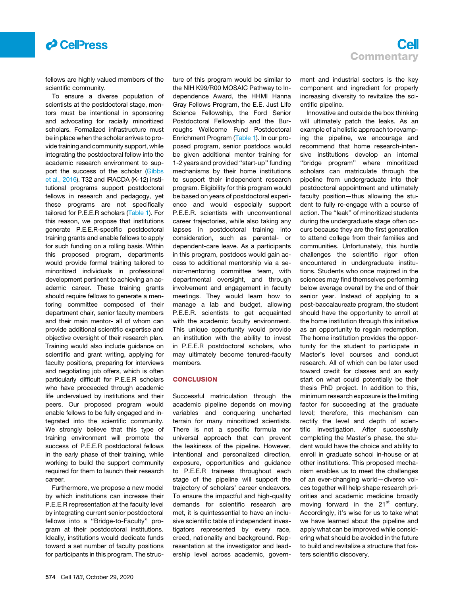

fellows are highly valued members of the scientific community.

To ensure a diverse population of scientists at the postdoctoral stage, mentors must be intentional in sponsoring and advocating for racially minoritized scholars. Formalized infrastructure must be in place when the scholar arrives to provide training and community support, while integrating the postdoctoral fellow into the academic research environment to sup-port the success of the scholar [\(Gibbs](#page-7-13) [et al., 2016\)](#page-7-13). T32 and IRACDA (K-12) institutional programs support postdoctoral fellows in research and pedagogy, yet these programs are not specifically tailored for P.E.E.R scholars [\(Table 1\)](#page-2-0). For this reason, we propose that institutions generate P.E.E.R-specific postdoctoral training grants and enable fellows to apply for such funding on a rolling basis. Within this proposed program, departments would provide formal training tailored to minoritized individuals in professional development pertinent to achieving an academic career. These training grants should require fellows to generate a mentoring committee composed of their department chair, senior faculty members and their main mentor- all of whom can provide additional scientific expertise and objective oversight of their research plan. Training would also include guidance on scientific and grant writing, applying for faculty positions, preparing for interviews and negotiating job offers, which is often particularly difficult for P.E.E.R scholars who have proceeded through academic life undervalued by institutions and their peers. Our proposed program would enable fellows to be fully engaged and integrated into the scientific community. We strongly believe that this type of training environment will promote the success of P.E.E.R postdoctoral fellows in the early phase of their training, while working to build the support community required for them to launch their research career.

Furthermore, we propose a new model by which institutions can increase their P.E.E.R representation at the faculty level by integrating current senior postdoctoral fellows into a ''Bridge-to-Faculty'' program at their postdoctoral institutions. Ideally, institutions would dedicate funds toward a set number of faculty positions for participants in this program. The structure of this program would be similar to the NIH K99/R00 MOSAIC Pathway to Independence Award, the HHMI Hanna Gray Fellows Program, the E.E. Just Life Science Fellowship, the Ford Senior Postdoctoral Fellowship and the Burroughs Wellcome Fund Postdoctoral Enrichment Program [\(Table 1\)](#page-2-0). In our proposed program, senior postdocs would be given additional mentor training for 1-2 years and provided ''start-up'' funding mechanisms by their home institutions to support their independent research program. Eligibility for this program would be based on years of postdoctoral experience and would especially support P.E.E.R. scientists with unconventional career trajectories, while also taking any lapses in postdoctoral training into consideration, such as parental- or dependent-care leave. As a participants in this program, postdocs would gain access to additional mentorship via a senior-mentoring committee team, with departmental oversight, and through involvement and engagement in faculty meetings. They would learn how to manage a lab and budget, allowing P.E.E.R. scientists to get acquainted with the academic faculty environment. This unique opportunity would provide an institution with the ability to invest in P.E.E.R postdoctoral scholars, who may ultimately become tenured-faculty members.

#### **CONCLUSION**

Successful matriculation through the academic pipeline depends on moving variables and conquering uncharted terrain for many minoritized scientists. There is not a specific formula nor universal approach that can prevent the leakiness of the pipeline. However, intentional and personalized direction, exposure, opportunities and guidance to P.E.E.R trainees throughout each stage of the pipeline will support the trajectory of scholars' career endeavors. To ensure the impactful and high-quality demands for scientific research are met, it is quintessential to have an inclusive scientific table of independent investigators represented by every race, creed, nationality and background. Representation at the investigator and leadership level across academic, government and industrial sectors is the key component and ingredient for properly increasing diversity to revitalize the scientific pipeline.

Innovative and outside the box thinking will ultimately patch the leaks. As an example of a holistic approach to revamping the pipeline, we encourage and recommend that home research-intensive institutions develop an internal ''bridge program'' where minoritized scholars can matriculate through the pipeline from undergraduate into their postdoctoral appointment and ultimately faculty position—thus allowing the student to fully re-engage with a course of action. The ''leak'' of minoritized students during the undergraduate stage often occurs because they are the first generation to attend college from their families and communities. Unfortunately, this hurdle challenges the scientific rigor often encountered in undergraduate institutions. Students who once majored in the sciences may find themselves performing below average overall by the end of their senior year. Instead of applying to a post-baccalaureate program, the student should have the opportunity to enroll at the home institution through this initiative as an opportunity to regain redemption. The home institution provides the opportunity for the student to participate in Master's level courses and conduct research. All of which can be later used toward credit for classes and an early start on what could potentially be their thesis PhD project. In addition to this, minimum research exposure is the limiting factor for succeeding at the graduate level; therefore, this mechanism can rectify the level and depth of scientific investigation. After successfully completing the Master's phase, the student would have the choice and ability to enroll in graduate school in-house or at other institutions. This proposed mechanism enables us to meet the challenges of an ever-changing world—diverse voices together will help shape research priorities and academic medicine broadly moving forward in the 21<sup>st</sup> century. Accordingly, it's wise for us to take what we have learned about the pipeline and apply what can be improved while considering what should be avoided in the future to build and revitalize a structure that fosters scientific discovery.